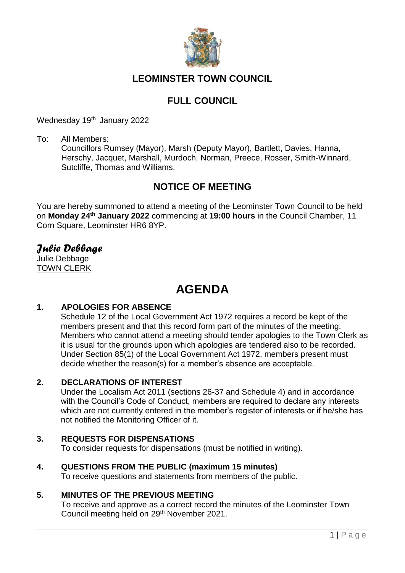

# **LEOMINSTER TOWN COUNCIL**

# **FULL COUNCIL**

Wednesday 19<sup>th</sup> January 2022

To: All Members:

Councillors Rumsey (Mayor), Marsh (Deputy Mayor), Bartlett, Davies, Hanna, Herschy, Jacquet, Marshall, Murdoch, Norman, Preece, Rosser, Smith-Winnard, Sutcliffe, Thomas and Williams.

# **NOTICE OF MEETING**

You are hereby summoned to attend a meeting of the Leominster Town Council to be held on **Monday 24th January 2022** commencing at **19:00 hours** in the Council Chamber, 11 Corn Square, Leominster HR6 8YP.

# *Julie Debbage*

Julie Debbage TOWN CLERK

# **AGENDA**

# **1. APOLOGIES FOR ABSENCE**

Schedule 12 of the Local Government Act 1972 requires a record be kept of the members present and that this record form part of the minutes of the meeting. Members who cannot attend a meeting should tender apologies to the Town Clerk as it is usual for the grounds upon which apologies are tendered also to be recorded. Under Section 85(1) of the Local Government Act 1972, members present must decide whether the reason(s) for a member's absence are acceptable.

# **2. DECLARATIONS OF INTEREST**

Under the Localism Act 2011 (sections 26-37 and Schedule 4) and in accordance with the Council's Code of Conduct, members are required to declare any interests which are not currently entered in the member's register of interests or if he/she has not notified the Monitoring Officer of it.

# **3. REQUESTS FOR DISPENSATIONS**

To consider requests for dispensations (must be notified in writing).

# **4. QUESTIONS FROM THE PUBLIC (maximum 15 minutes)**

To receive questions and statements from members of the public.

# **5. MINUTES OF THE PREVIOUS MEETING**

To receive and approve as a correct record the minutes of the Leominster Town Council meeting held on 29th November 2021.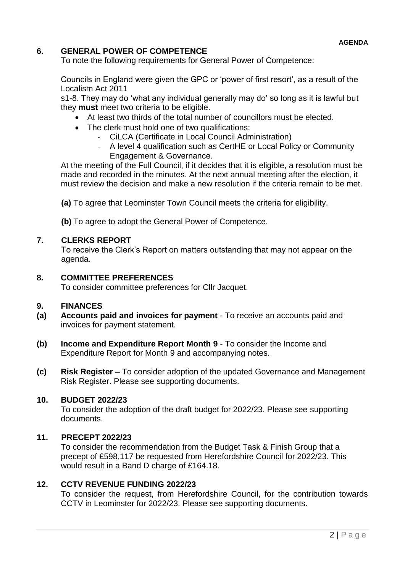# **6. GENERAL POWER OF COMPETENCE**

To note the following requirements for General Power of Competence:

Councils in England were given the GPC or 'power of first resort', as a result of the Localism Act 2011

s1-8. They may do 'what any individual generally may do' so long as it is lawful but they **must** meet two criteria to be eligible.

- At least two thirds of the total number of councillors must be elected.
- The clerk must hold one of two qualifications:
	- CiLCA (Certificate in Local Council Administration)
	- A level 4 qualification such as CertHE or Local Policy or Community Engagement & Governance.

At the meeting of the Full Council, if it decides that it is eligible, a resolution must be made and recorded in the minutes. At the next annual meeting after the election, it must review the decision and make a new resolution if the criteria remain to be met.

**(a)** To agree that Leominster Town Council meets the criteria for eligibility.

**(b)** To agree to adopt the General Power of Competence.

#### **7. CLERKS REPORT**

To receive the Clerk's Report on matters outstanding that may not appear on the agenda.

#### **8. COMMITTEE PREFERENCES**

To consider committee preferences for Cllr Jacquet.

#### **9. FINANCES**

- **(a) Accounts paid and invoices for payment**  To receive an accounts paid and invoices for payment statement.
- **(b) Income and Expenditure Report Month 9** To consider the Income and Expenditure Report for Month 9 and accompanying notes.
- **(c) Risk Register –** To consider adoption of the updated Governance and Management Risk Register. Please see supporting documents.

#### **10. BUDGET 2022/23**

To consider the adoption of the draft budget for 2022/23. Please see supporting documents.

#### **11. PRECEPT 2022/23**

To consider the recommendation from the Budget Task & Finish Group that a precept of £598,117 be requested from Herefordshire Council for 2022/23. This would result in a Band D charge of £164.18.

#### **12. CCTV REVENUE FUNDING 2022/23**

To consider the request, from Herefordshire Council, for the contribution towards CCTV in Leominster for 2022/23. Please see supporting documents.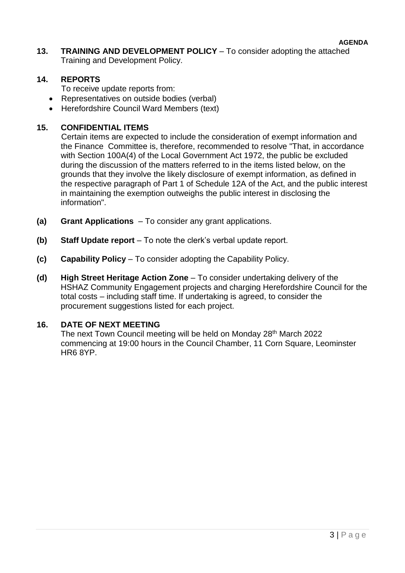**AGENDA**

**13. TRAINING AND DEVELOPMENT POLICY** – To consider adopting the attached Training and Development Policy.

# **14. REPORTS**

To receive update reports from:

- Representatives on outside bodies (verbal)
- Herefordshire Council Ward Members (text)

# **15. CONFIDENTIAL ITEMS**

Certain items are expected to include the consideration of exempt information and the Finance Committee is, therefore, recommended to resolve "That, in accordance with Section 100A(4) of the Local Government Act 1972, the public be excluded during the discussion of the matters referred to in the items listed below, on the grounds that they involve the likely disclosure of exempt information, as defined in the respective paragraph of Part 1 of Schedule 12A of the Act, and the public interest in maintaining the exemption outweighs the public interest in disclosing the information".

- **(a) Grant Applications**  To consider any grant applications.
- **(b) Staff Update report**  To note the clerk's verbal update report.
- **(c) Capability Policy** To consider adopting the Capability Policy.
- **(d) High Street Heritage Action Zone** To consider undertaking delivery of the HSHAZ Community Engagement projects and charging Herefordshire Council for the total costs – including staff time. If undertaking is agreed, to consider the procurement suggestions listed for each project.

# **16. DATE OF NEXT MEETING**

The next Town Council meeting will be held on Monday 28<sup>th</sup> March 2022 commencing at 19:00 hours in the Council Chamber, 11 Corn Square, Leominster HR6 8YP.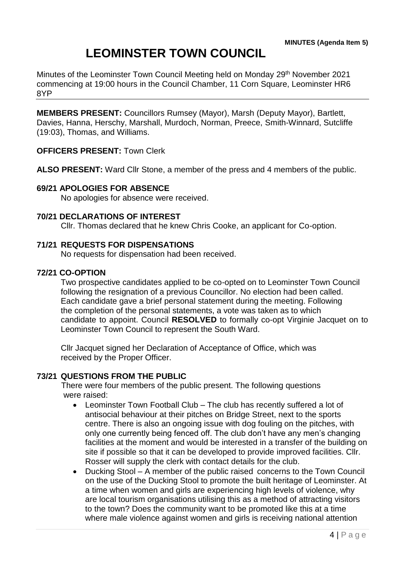# **LEOMINSTER TOWN COUNCIL**

Minutes of the Leominster Town Council Meeting held on Monday 29<sup>th</sup> November 2021 commencing at 19:00 hours in the Council Chamber, 11 Corn Square, Leominster HR6 8YP

**MEMBERS PRESENT:** Councillors Rumsey (Mayor), Marsh (Deputy Mayor), Bartlett, Davies, Hanna, Herschy, Marshall, Murdoch, Norman, Preece, Smith-Winnard, Sutcliffe (19:03), Thomas, and Williams.

# **OFFICERS PRESENT:** Town Clerk

**ALSO PRESENT:** Ward Cllr Stone, a member of the press and 4 members of the public.

#### **69/21 APOLOGIES FOR ABSENCE**

No apologies for absence were received.

#### **70/21 DECLARATIONS OF INTEREST**

Cllr. Thomas declared that he knew Chris Cooke, an applicant for Co-option.

#### **71/21 REQUESTS FOR DISPENSATIONS**

No requests for dispensation had been received.

#### **72/21 CO-OPTION**

Two prospective candidates applied to be co-opted on to Leominster Town Council following the resignation of a previous Councillor. No election had been called. Each candidate gave a brief personal statement during the meeting. Following the completion of the personal statements, a vote was taken as to which candidate to appoint. Council **RESOLVED** to formally co-opt Virginie Jacquet on to Leominster Town Council to represent the South Ward.

Cllr Jacquet signed her Declaration of Acceptance of Office, which was received by the Proper Officer.

# **73/21 QUESTIONS FROM THE PUBLIC**

There were four members of the public present. The following questions were raised:

- Leominster Town Football Club The club has recently suffered a lot of antisocial behaviour at their pitches on Bridge Street, next to the sports centre. There is also an ongoing issue with dog fouling on the pitches, with only one currently being fenced off. The club don't have any men's changing facilities at the moment and would be interested in a transfer of the building on site if possible so that it can be developed to provide improved facilities. Cllr. Rosser will supply the clerk with contact details for the club.
- Ducking Stool A member of the public raised concerns to the Town Council on the use of the Ducking Stool to promote the built heritage of Leominster. At a time when women and girls are experiencing high levels of violence, why are local tourism organisations utilising this as a method of attracting visitors to the town? Does the community want to be promoted like this at a time where male violence against women and girls is receiving national attention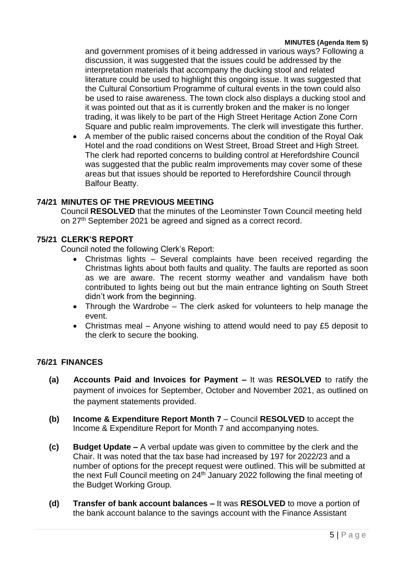and government promises of it being addressed in various ways? Following a discussion, it was suggested that the issues could be addressed by the interpretation materials that accompany the ducking stool and related literature could be used to highlight this ongoing issue. It was suggested that the Cultural Consortium Programme of cultural events in the town could also be used to raise awareness. The town clock also displays a ducking stool and it was pointed out that as it is currently broken and the maker is no longer trading, it was likely to be part of the High Street Heritage Action Zone Corn Square and public realm improvements. The clerk will investigate this further.

 A member of the public raised concerns about the condition of the Royal Oak Hotel and the road conditions on West Street, Broad Street and High Street. The clerk had reported concerns to building control at Herefordshire Council was suggested that the public realm improvements may cover some of these areas but that issues should be reported to Herefordshire Council through Balfour Beatty.

# **74/21 MINUTES OF THE PREVIOUS MEETING**

Council **RESOLVED** that the minutes of the Leominster Town Council meeting held on 27<sup>th</sup> September 2021 be agreed and signed as a correct record.

# **75/21 CLERK'S REPORT**

Council noted the following Clerk's Report:

- Christmas lights Several complaints have been received regarding the Christmas lights about both faults and quality. The faults are reported as soon as we are aware. The recent stormy weather and vandalism have both contributed to lights being out but the main entrance lighting on South Street didn't work from the beginning.
- Through the Wardrobe The clerk asked for volunteers to help manage the event.
- Christmas meal Anyone wishing to attend would need to pay £5 deposit to the clerk to secure the booking.

# **76/21 FINANCES**

- **(a) Accounts Paid and Invoices for Payment –** It was **RESOLVED** to ratify the payment of invoices for September, October and November 2021, as outlined on the payment statements provided.
- **(b) Income & Expenditure Report Month 7** Council **RESOLVED** to accept the Income & Expenditure Report for Month 7 and accompanying notes.
- **(c) Budget Update –** A verbal update was given to committee by the clerk and the Chair. It was noted that the tax base had increased by 197 for 2022/23 and a number of options for the precept request were outlined. This will be submitted at the next Full Council meeting on 24th January 2022 following the final meeting of the Budget Working Group.
- **(d) Transfer of bank account balances –** It was **RESOLVED** to move a portion of the bank account balance to the savings account with the Finance Assistant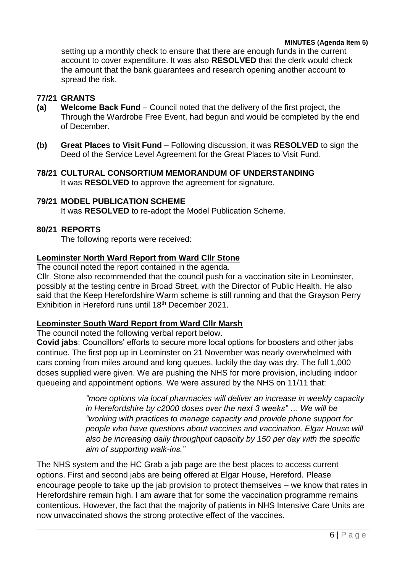setting up a monthly check to ensure that there are enough funds in the current account to cover expenditure. It was also **RESOLVED** that the clerk would check the amount that the bank guarantees and research opening another account to spread the risk.

# **77/21 GRANTS**

- **(a) Welcome Back Fund**  Council noted that the delivery of the first project, the Through the Wardrobe Free Event, had begun and would be completed by the end of December.
- **(b) Great Places to Visit Fund**  Following discussion, it was **RESOLVED** to sign the Deed of the Service Level Agreement for the Great Places to Visit Fund.
- **78/21 CULTURAL CONSORTIUM MEMORANDUM OF UNDERSTANDING** It was **RESOLVED** to approve the agreement for signature.

# **79/21 MODEL PUBLICATION SCHEME**

It was **RESOLVED** to re-adopt the Model Publication Scheme.

# **80/21 REPORTS**

The following reports were received:

#### **Leominster North Ward Report from Ward Cllr Stone**

The council noted the report contained in the agenda.

Cllr. Stone also recommended that the council push for a vaccination site in Leominster, possibly at the testing centre in Broad Street, with the Director of Public Health. He also said that the Keep Herefordshire Warm scheme is still running and that the Grayson Perry Exhibition in Hereford runs until 18th December 2021.

# **Leominster South Ward Report from Ward Cllr Marsh**

The council noted the following verbal report below.

**Covid jabs**: Councillors' efforts to secure more local options for boosters and other jabs continue. The first pop up in Leominster on 21 November was nearly overwhelmed with cars coming from miles around and long queues, luckily the day was dry. The full 1,000 doses supplied were given. We are pushing the NHS for more provision, including indoor queueing and appointment options. We were assured by the NHS on 11/11 that:

> *"more options via local pharmacies will deliver an increase in weekly capacity in Herefordshire by c2000 doses over the next 3 weeks" … We will be "working with practices to manage capacity and provide phone support for people who have questions about vaccines and vaccination. Elgar House will also be increasing daily throughput capacity by 150 per day with the specific aim of supporting walk-ins."*

The NHS system and the HC Grab a jab page are the best places to access current options. First and second jabs are being offered at Elgar House, Hereford. Please encourage people to take up the jab provision to protect themselves – we know that rates in Herefordshire remain high. I am aware that for some the vaccination programme remains contentious. However, the fact that the majority of patients in NHS Intensive Care Units are now unvaccinated shows the strong protective effect of the vaccines.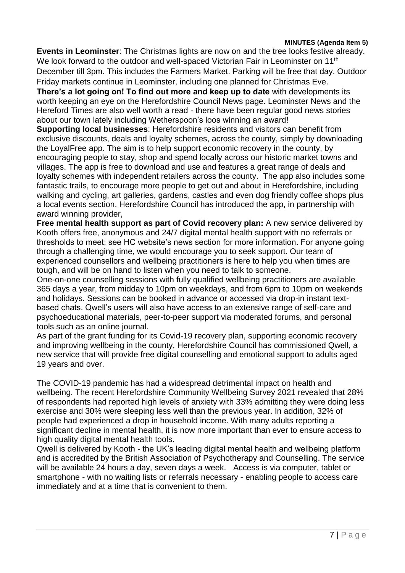**Events in Leominster**: The Christmas lights are now on and the tree looks festive already. We look forward to the outdoor and well-spaced Victorian Fair in Leominster on 11<sup>th</sup> December till 3pm. This includes the Farmers Market. Parking will be free that day. Outdoor Friday markets continue in Leominster, including one planned for Christmas Eve.

**There's a lot going on! To find out more and keep up to date** with developments its worth keeping an eye on the Herefordshire Council News page. Leominster News and the Hereford Times are also well worth a read - there have been regular good news stories about our town lately including Wetherspoon's loos winning an award!

**Supporting local businesses**: Herefordshire residents and visitors can benefit from exclusive discounts, deals and loyalty schemes, across the county, simply by downloading the LoyalFree app. The aim is to help support economic recovery in the county, by encouraging people to stay, shop and spend locally across our historic market towns and villages. The app is free to download and use and features a great range of deals and loyalty schemes with independent retailers across the county. The app also includes some fantastic trails, to encourage more people to get out and about in Herefordshire, including walking and cycling, art galleries, gardens, castles and even dog friendly coffee shops plus a local events section. Herefordshire Council has introduced the app, in partnership with award winning provider,

**Free mental health support as part of Covid recovery plan:** A new service delivered by Kooth offers free, anonymous and 24/7 digital mental health support with no referrals or thresholds to meet: see HC website's news section for more information. For anyone going through a challenging time, we would encourage you to seek support. Our team of experienced counsellors and wellbeing practitioners is here to help you when times are tough, and will be on hand to listen when you need to talk to someone.

One-on-one counselling sessions with fully qualified wellbeing practitioners are available 365 days a year, from midday to 10pm on weekdays, and from 6pm to 10pm on weekends and holidays. Sessions can be booked in advance or accessed via drop-in instant textbased chats. Qwell's users will also have access to an extensive range of self-care and psychoeducational materials, peer-to-peer support via moderated forums, and personal tools such as an online journal.

As part of the grant funding for its Covid-19 recovery plan, supporting economic recovery and improving wellbeing in the county, Herefordshire Council has commissioned Qwell, a new service that will provide free digital counselling and emotional support to adults aged 19 years and over.

The COVID-19 pandemic has had a widespread detrimental impact on health and wellbeing. The recent Herefordshire Community Wellbeing Survey 2021 revealed that 28% of respondents had reported high levels of anxiety with 33% admitting they were doing less exercise and 30% were sleeping less well than the previous year. In addition, 32% of people had experienced a drop in household income. With many adults reporting a significant decline in mental health, it is now more important than ever to ensure access to high quality digital mental health tools.

Qwell is delivered by Kooth - the UK's leading digital mental health and wellbeing platform and is accredited by the British Association of Psychotherapy and Counselling. The service will be available 24 hours a day, seven days a week. Access is via computer, tablet or smartphone - with no waiting lists or referrals necessary - enabling people to access care immediately and at a time that is convenient to them.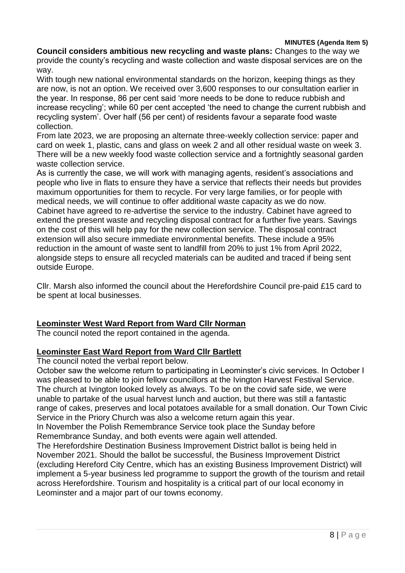**Council considers ambitious new recycling and waste plans:** Changes to the way we provide the county's recycling and waste collection and waste disposal services are on the way.

With tough new national environmental standards on the horizon, keeping things as they are now, is not an option. We received over 3,600 responses to our consultation earlier in the year. In response, 86 per cent said 'more needs to be done to reduce rubbish and increase recycling'; while 60 per cent accepted 'the need to change the current rubbish and recycling system'. Over half (56 per cent) of residents favour a separate food waste collection.

From late 2023, we are proposing an alternate three-weekly collection service: paper and card on week 1, plastic, cans and glass on week 2 and all other residual waste on week 3. There will be a new weekly food waste collection service and a fortnightly seasonal garden waste collection service.

As is currently the case, we will work with managing agents, resident's associations and people who live in flats to ensure they have a service that reflects their needs but provides maximum opportunities for them to recycle. For very large families, or for people with medical needs, we will continue to offer additional waste capacity as we do now. Cabinet have agreed to re-advertise the service to the industry. Cabinet have agreed to extend the present waste and recycling disposal contract for a further five years. Savings on the cost of this will help pay for the new collection service. The disposal contract extension will also secure immediate environmental benefits. These include a 95% reduction in the amount of waste sent to landfill from 20% to just 1% from April 2022, alongside steps to ensure all recycled materials can be audited and traced if being sent outside Europe.

Cllr. Marsh also informed the council about the Herefordshire Council pre-paid £15 card to be spent at local businesses.

# **Leominster West Ward Report from Ward Cllr Norman**

The council noted the report contained in the agenda.

#### **Leominster East Ward Report from Ward Cllr Bartlett**

The council noted the verbal report below.

October saw the welcome return to participating in Leominster's civic services. In October I was pleased to be able to join fellow councillors at the Ivington Harvest Festival Service. The church at Ivington looked lovely as always. To be on the covid safe side, we were unable to partake of the usual harvest lunch and auction, but there was still a fantastic range of cakes, preserves and local potatoes available for a small donation. Our Town Civic Service in the Priory Church was also a welcome return again this year.

In November the Polish Remembrance Service took place the Sunday before Remembrance Sunday, and both events were again well attended.

The Herefordshire Destination Business Improvement District ballot is being held in November 2021. Should the ballot be successful, the Business Improvement District (excluding Hereford City Centre, which has an existing Business Improvement District) will implement a 5-year business led programme to support the growth of the tourism and retail across Herefordshire. Tourism and hospitality is a critical part of our local economy in Leominster and a major part of our towns economy.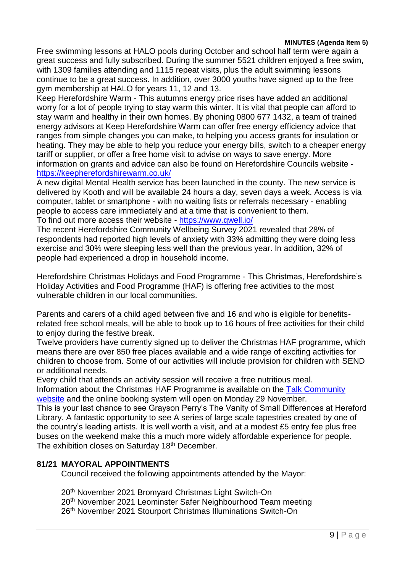Free swimming lessons at HALO pools during October and school half term were again a great success and fully subscribed. During the summer 5521 children enjoyed a free swim, with 1309 families attending and 1115 repeat visits, plus the adult swimming lessons continue to be a great success. In addition, over 3000 youths have signed up to the free gym membership at HALO for years 11, 12 and 13.

Keep Herefordshire Warm - This autumns energy price rises have added an additional worry for a lot of people trying to stay warm this winter. It is vital that people can afford to stay warm and healthy in their own homes. By phoning 0800 677 1432, a team of trained energy advisors at Keep Herefordshire Warm can offer free energy efficiency advice that ranges from simple changes you can make, to helping you access grants for insulation or heating. They may be able to help you reduce your energy bills, switch to a cheaper energy tariff or supplier, or offer a free home visit to advise on ways to save energy. More information on grants and advice can also be found on Herefordshire Councils website https://keepherefordshirewarm.co.uk/

A new digital Mental Health service has been launched in the county. The new service is delivered by Kooth and will be available 24 hours a day, seven days a week. Access is via computer, tablet or smartphone - with no waiting lists or referrals necessary - enabling people to access care immediately and at a time that is convenient to them. To find out more access their website - https://www.qwell.io/

The recent Herefordshire Community Wellbeing Survey 2021 revealed that 28% of respondents had reported high levels of anxiety with 33% admitting they were doing less exercise and 30% were sleeping less well than the previous year. In addition, 32% of people had experienced a drop in household income.

Herefordshire Christmas Holidays and Food Programme - This Christmas, Herefordshire's Holiday Activities and Food Programme (HAF) is offering free activities to the most vulnerable children in our local communities.

Parents and carers of a child aged between five and 16 and who is eligible for benefitsrelated free school meals, will be able to book up to 16 hours of free activities for their child to enjoy during the festive break.

Twelve providers have currently signed up to deliver the Christmas HAF programme, which means there are over 850 free places available and a wide range of exciting activities for children to choose from. Some of our activities will include provision for children with SEND or additional needs.

Every child that attends an activity session will receive a free nutritious meal.

Information about the Christmas HAF Programme is available on the Talk Community [website](http://www.talkcommunity.org/holidayactivities) and the online booking system will open on Monday 29 November.

This is your last chance to see Grayson Perry's The Vanity of Small Differences at Hereford Library. A fantastic opportunity to see A series of large scale tapestries created by one of the country's leading artists. It is well worth a visit, and at a modest £5 entry fee plus free buses on the weekend make this a much more widely affordable experience for people. The exhibition closes on Saturday 18<sup>th</sup> December.

# **81/21 MAYORAL APPOINTMENTS**

Council received the following appointments attended by the Mayor:

20th November 2021 Bromyard Christmas Light Switch-On 20th November 2021 Leominster Safer Neighbourhood Team meeting 26th November 2021 Stourport Christmas Illuminations Switch-On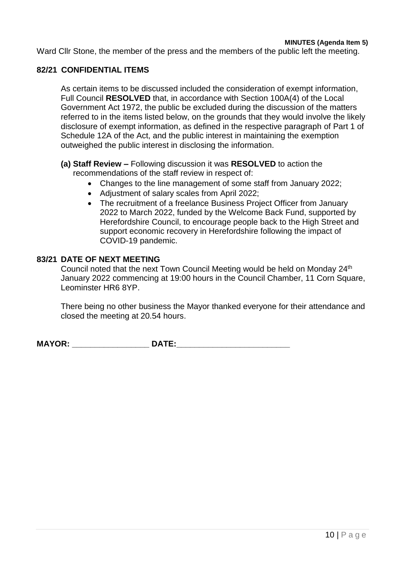Ward Cllr Stone, the member of the press and the members of the public left the meeting.

#### **82/21 CONFIDENTIAL ITEMS**

As certain items to be discussed included the consideration of exempt information, Full Council **RESOLVED** that, in accordance with Section 100A(4) of the Local Government Act 1972, the public be excluded during the discussion of the matters referred to in the items listed below, on the grounds that they would involve the likely disclosure of exempt information, as defined in the respective paragraph of Part 1 of Schedule 12A of the Act, and the public interest in maintaining the exemption outweighed the public interest in disclosing the information.

#### **(a) Staff Review –** Following discussion it was **RESOLVED** to action the recommendations of the staff review in respect of:

- Changes to the line management of some staff from January 2022;
- Adjustment of salary scales from April 2022;
- The recruitment of a freelance Business Project Officer from January 2022 to March 2022, funded by the Welcome Back Fund, supported by Herefordshire Council, to encourage people back to the High Street and support economic recovery in Herefordshire following the impact of COVID-19 pandemic.

#### **83/21 DATE OF NEXT MEETING**

Council noted that the next Town Council Meeting would be held on Monday 24<sup>th</sup> January 2022 commencing at 19:00 hours in the Council Chamber, 11 Corn Square, Leominster HR6 8YP.

There being no other business the Mayor thanked everyone for their attendance and closed the meeting at 20.54 hours.

**MAYOR:** DATE: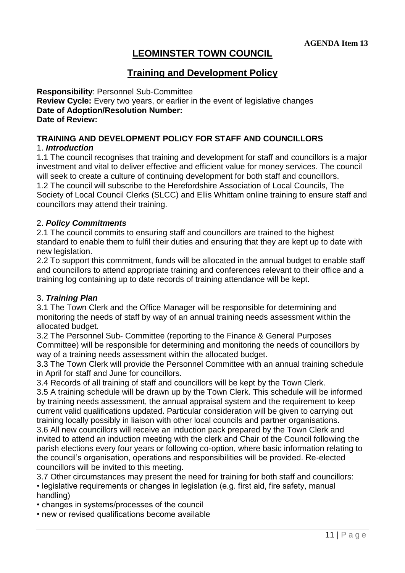# **LEOMINSTER TOWN COUNCIL**

# **Training and Development Policy**

**Responsibility**: Personnel Sub-Committee **Review Cycle:** Every two years, or earlier in the event of legislative changes **Date of Adoption/Resolution Number: Date of Review:**

# **TRAINING AND DEVELOPMENT POLICY FOR STAFF AND COUNCILLORS**

# 1. *Introduction*

1.1 The council recognises that training and development for staff and councillors is a major investment and vital to deliver effective and efficient value for money services. The council will seek to create a culture of continuing development for both staff and councillors. 1.2 The council will subscribe to the Herefordshire Association of Local Councils, The Society of Local Council Clerks (SLCC) and Ellis Whittam online training to ensure staff and councillors may attend their training.

# 2. *Policy Commitments*

2.1 The council commits to ensuring staff and councillors are trained to the highest standard to enable them to fulfil their duties and ensuring that they are kept up to date with new legislation.

2.2 To support this commitment, funds will be allocated in the annual budget to enable staff and councillors to attend appropriate training and conferences relevant to their office and a training log containing up to date records of training attendance will be kept.

# 3. *Training Plan*

3.1 The Town Clerk and the Office Manager will be responsible for determining and monitoring the needs of staff by way of an annual training needs assessment within the allocated budget.

3.2 The Personnel Sub- Committee (reporting to the Finance & General Purposes Committee) will be responsible for determining and monitoring the needs of councillors by way of a training needs assessment within the allocated budget.

3.3 The Town Clerk will provide the Personnel Committee with an annual training schedule in April for staff and June for councillors.

3.4 Records of all training of staff and councillors will be kept by the Town Clerk.

3.5 A training schedule will be drawn up by the Town Clerk. This schedule will be informed by training needs assessment, the annual appraisal system and the requirement to keep current valid qualifications updated. Particular consideration will be given to carrying out training locally possibly in liaison with other local councils and partner organisations. 3.6 All new councillors will receive an induction pack prepared by the Town Clerk and invited to attend an induction meeting with the clerk and Chair of the Council following the parish elections every four years or following co-option, where basic information relating to the council's organisation, operations and responsibilities will be provided. Re-elected councillors will be invited to this meeting.

3.7 Other circumstances may present the need for training for both staff and councillors: • legislative requirements or changes in legislation (e.g. first aid, fire safety, manual handling)

• changes in systems/processes of the council

• new or revised qualifications become available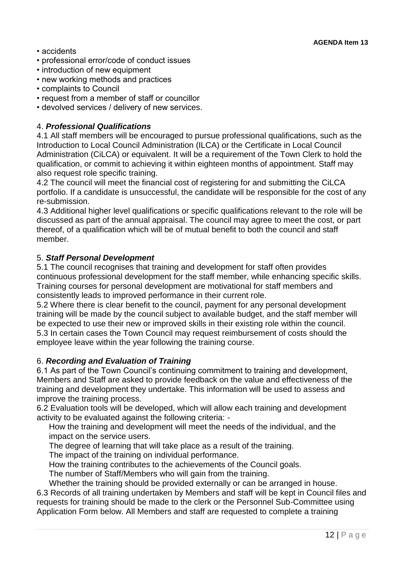- accidents
- professional error/code of conduct issues
- introduction of new equipment
- new working methods and practices
- complaints to Council
- request from a member of staff or councillor
- devolved services / delivery of new services.

# 4. *Professional Qualifications*

4.1 All staff members will be encouraged to pursue professional qualifications, such as the Introduction to Local Council Administration (ILCA) or the Certificate in Local Council Administration (CiLCA) or equivalent. It will be a requirement of the Town Clerk to hold the qualification, or commit to achieving it within eighteen months of appointment. Staff may also request role specific training.

4.2 The council will meet the financial cost of registering for and submitting the CiLCA portfolio. If a candidate is unsuccessful, the candidate will be responsible for the cost of any re-submission.

4.3 Additional higher level qualifications or specific qualifications relevant to the role will be discussed as part of the annual appraisal. The council may agree to meet the cost, or part thereof, of a qualification which will be of mutual benefit to both the council and staff member.

# 5. *Staff Personal Development*

5.1 The council recognises that training and development for staff often provides continuous professional development for the staff member, while enhancing specific skills. Training courses for personal development are motivational for staff members and consistently leads to improved performance in their current role.

5.2 Where there is clear benefit to the council, payment for any personal development training will be made by the council subject to available budget, and the staff member will be expected to use their new or improved skills in their existing role within the council. 5.3 In certain cases the Town Council may request reimbursement of costs should the employee leave within the year following the training course.

# 6. *Recording and Evaluation of Training*

6.1 As part of the Town Council's continuing commitment to training and development, Members and Staff are asked to provide feedback on the value and effectiveness of the training and development they undertake. This information will be used to assess and improve the training process.

6.2 Evaluation tools will be developed, which will allow each training and development activity to be evaluated against the following criteria: -

How the training and development will meet the needs of the individual, and the impact on the service users.

The degree of learning that will take place as a result of the training.

The impact of the training on individual performance.

How the training contributes to the achievements of the Council goals.

The number of Staff/Members who will gain from the training.

Whether the training should be provided externally or can be arranged in house.

6.3 Records of all training undertaken by Members and staff will be kept in Council files and requests for training should be made to the clerk or the Personnel Sub-Committee using Application Form below. All Members and staff are requested to complete a training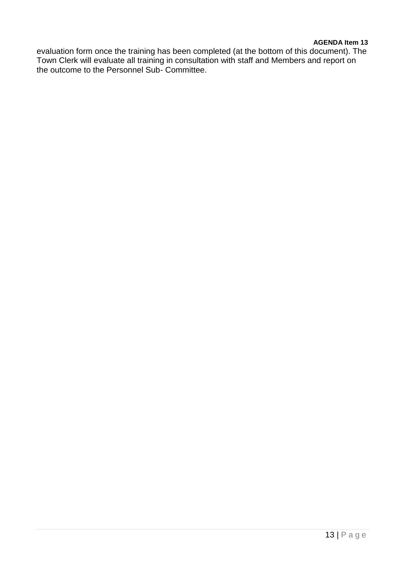#### **AGENDA Item 13**

evaluation form once the training has been completed (at the bottom of this document). The Town Clerk will evaluate all training in consultation with staff and Members and report on the outcome to the Personnel Sub- Committee.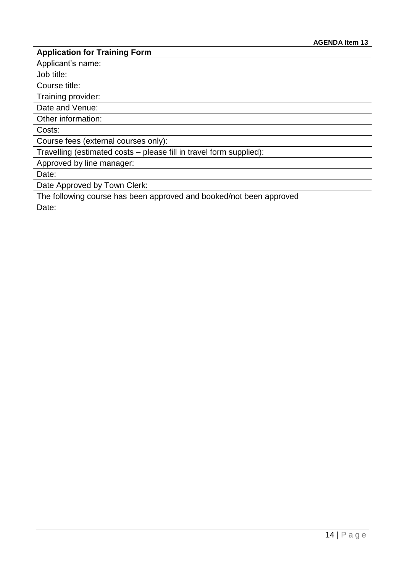# **Application for Training Form**

Applicant's name:

Job title:

Course title:

Training provider:

Date and Venue:

Other information:

Costs:

Course fees (external courses only):

Travelling (estimated costs – please fill in travel form supplied):

Approved by line manager:

Date:

Date Approved by Town Clerk:

The following course has been approved and booked/not been approved

Date: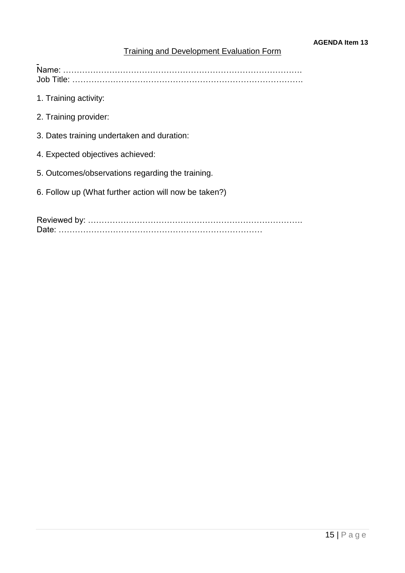# Training and Development Evaluation Form

Name: ……………………………………………………………………………. Job Title: ………………………………………………………………………….

- 1. Training activity:
- 2. Training provider:
- 3. Dates training undertaken and duration:
- 4. Expected objectives achieved:
- 5. Outcomes/observations regarding the training.
- 6. Follow up (What further action will now be taken?)

Reviewed by: ……………………………………………………………………. Date: …………………………………………………………………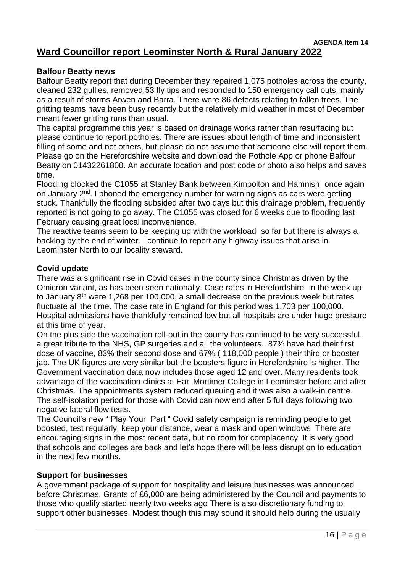#### **AGENDA Item 14 Ward Councillor report Leominster North & Rural January 2022**

#### **Balfour Beatty news**

Balfour Beatty report that during December they repaired 1,075 potholes across the county, cleaned 232 gullies, removed 53 fly tips and responded to 150 emergency call outs, mainly as a result of storms Arwen and Barra. There were 86 defects relating to fallen trees. The gritting teams have been busy recently but the relatively mild weather in most of December meant fewer gritting runs than usual.

The capital programme this year is based on drainage works rather than resurfacing but please continue to report potholes. There are issues about length of time and inconsistent filling of some and not others, but please do not assume that someone else will report them. Please go on the Herefordshire website and download the Pothole App or phone Balfour Beatty on 01432261800. An accurate location and post code or photo also helps and saves time.

Flooding blocked the C1055 at Stanley Bank between Kimbolton and Hamnish once again on January 2<sup>nd</sup>. I phoned the emergency number for warning signs as cars were getting stuck. Thankfully the flooding subsided after two days but this drainage problem, frequently reported is not going to go away. The C1055 was closed for 6 weeks due to flooding last February causing great local inconvenience.

The reactive teams seem to be keeping up with the workload so far but there is always a backlog by the end of winter. I continue to report any highway issues that arise in Leominster North to our locality steward.

#### **Covid update**

There was a significant rise in Covid cases in the county since Christmas driven by the Omicron variant, as has been seen nationally. Case rates in Herefordshire in the week up to January 8<sup>th</sup> were 1,268 per 100,000, a small decrease on the previous week but rates fluctuate all the time. The case rate in England for this period was 1,703 per 100,000. Hospital admissions have thankfully remained low but all hospitals are under huge pressure at this time of year.

On the plus side the vaccination roll-out in the county has continued to be very successful, a great tribute to the NHS, GP surgeries and all the volunteers. 87% have had their first dose of vaccine, 83% their second dose and 67% ( 118,000 people ) their third or booster jab. The UK figures are very similar but the boosters figure in Herefordshire is higher. The Government vaccination data now includes those aged 12 and over. Many residents took advantage of the vaccination clinics at Earl Mortimer College in Leominster before and after Christmas. The appointments system reduced queuing and it was also a walk-in centre. The self-isolation period for those with Covid can now end after 5 full days following two negative lateral flow tests.

The Council's new " Play Your Part " Covid safety campaign is reminding people to get boosted, test regularly, keep your distance, wear a mask and open windows There are encouraging signs in the most recent data, but no room for complacency. It is very good that schools and colleges are back and let's hope there will be less disruption to education in the next few months.

#### **Support for businesses**

A government package of support for hospitality and leisure businesses was announced before Christmas. Grants of £6,000 are being administered by the Council and payments to those who qualify started nearly two weeks ago There is also discretionary funding to support other businesses. Modest though this may sound it should help during the usually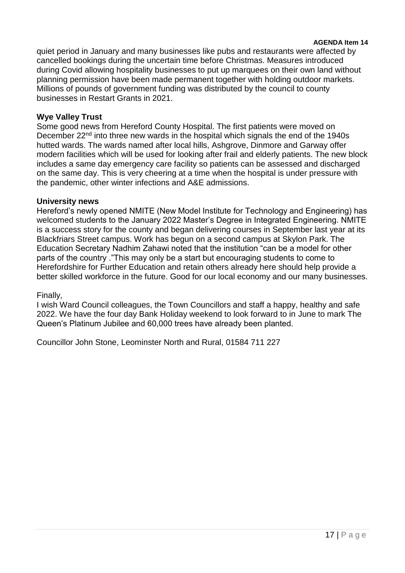#### **AGENDA Item 14**

quiet period in January and many businesses like pubs and restaurants were affected by cancelled bookings during the uncertain time before Christmas. Measures introduced during Covid allowing hospitality businesses to put up marquees on their own land without planning permission have been made permanent together with holding outdoor markets. Millions of pounds of government funding was distributed by the council to county businesses in Restart Grants in 2021.

# **Wye Valley Trust**

Some good news from Hereford County Hospital. The first patients were moved on December 22<sup>nd</sup> into three new wards in the hospital which signals the end of the 1940s hutted wards. The wards named after local hills, Ashgrove, Dinmore and Garway offer modern facilities which will be used for looking after frail and elderly patients. The new block includes a same day emergency care facility so patients can be assessed and discharged on the same day. This is very cheering at a time when the hospital is under pressure with the pandemic, other winter infections and A&E admissions.

#### **University news**

Hereford's newly opened NMITE (New Model Institute for Technology and Engineering) has welcomed students to the January 2022 Master's Degree in Integrated Engineering. NMITE is a success story for the county and began delivering courses in September last year at its Blackfriars Street campus. Work has begun on a second campus at Skylon Park. The Education Secretary Nadhim Zahawi noted that the institution "can be a model for other parts of the country ."This may only be a start but encouraging students to come to Herefordshire for Further Education and retain others already here should help provide a better skilled workforce in the future. Good for our local economy and our many businesses.

#### Finally,

I wish Ward Council colleagues, the Town Councillors and staff a happy, healthy and safe 2022. We have the four day Bank Holiday weekend to look forward to in June to mark The Queen's Platinum Jubilee and 60,000 trees have already been planted.

Councillor John Stone, Leominster North and Rural, 01584 711 227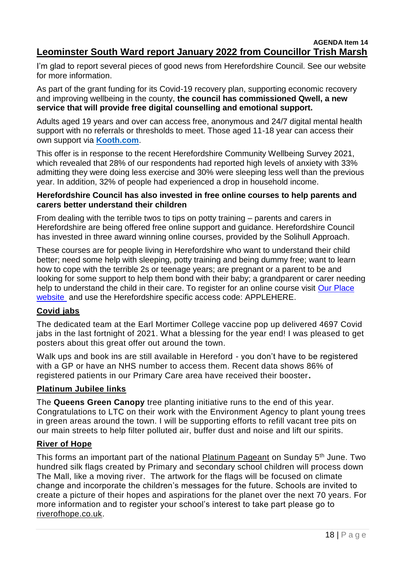#### **AGENDA Item 14 Leominster South Ward report January 2022 from Councillor Trish Marsh**

I'm glad to report several pieces of good news from Herefordshire Council. See our website for more information.

As part of the grant funding for its Covid-19 recovery plan, supporting economic recovery and improving wellbeing in the county, **the council has commissioned Qwell, a new service that will provide free digital counselling and emotional support.** 

Adults aged 19 years and over can access free, anonymous and 24/7 digital mental health support with no referrals or thresholds to meet. Those aged 11-18 year can access their own support via **[Kooth.com](https://www.kooth.com/)**.

This offer is in response to the recent Herefordshire Community Wellbeing Survey 2021, which revealed that 28% of our respondents had reported high levels of anxiety with 33% admitting they were doing less exercise and 30% were sleeping less well than the previous year. In addition, 32% of people had experienced a drop in household income.

# **Herefordshire Council has also invested in free online courses to help parents and carers better understand their children**

From dealing with the terrible twos to tips on potty training – parents and carers in Herefordshire are being offered free online support and guidance. Herefordshire Council has invested in three award winning online courses, provided by the Solihull Approach.

These courses are for people living in Herefordshire who want to understand their child better; need some help with sleeping, potty training and being dummy free; want to learn how to cope with the terrible 2s or teenage years; are pregnant or a parent to be and looking for some support to help them bond with their baby; a grandparent or carer needing help to understand the child in their care. To register for an online course visit Our Place [website](http://www.inourplace.co.uk/) and use the Herefordshire specific access code: APPLEHERE.

# **Covid jabs**

The dedicated team at the Earl Mortimer College vaccine pop up delivered 4697 Covid iabs in the last fortnight of 2021. What a blessing for the year end! I was pleased to get posters about this great offer out around the town.

Walk ups and book ins are still available in Hereford - you don't have to be registered with a GP or have an NHS number to access them. Recent data shows 86% of registered patients in our Primary Care area have received their booster**.**

# **Platinum Jubilee links**

The **Queens Green Canopy** tree planting initiative runs to the end of this year. Congratulations to LTC on their work with the Environment Agency to plant young trees in green areas around the town. I will be supporting efforts to refill vacant tree pits on our main streets to help filter polluted air, buffer dust and noise and lift our spirits.

# **River of Hope**

This forms an important part of the national [Platinum Pageant](https://www.platinumpageant.com/) on Sunday 5<sup>th</sup> June. Two hundred silk flags created by Primary and secondary school children will process down The Mall, like a moving river. The artwork for the flags will be focused on climate change and incorporate the children's messages for the future. Schools are invited to create a picture of their hopes and aspirations for the planet over the next 70 years. For more information and to register your school's interest to take part please go t[o](https://thamesfestivaltrust.org/river-of-hope/) [riverofhope.co.uk.](https://thamesfestivaltrust.org/river-of-hope/)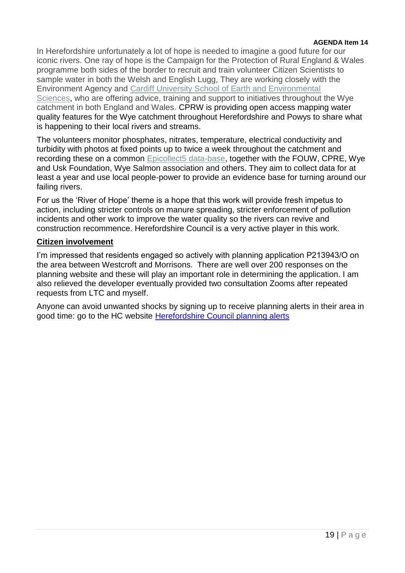#### **AGENDA Item 14**

In Herefordshire unfortunately a lot of hope is needed to imagine a good future for our iconic rivers. One ray of hope is the Campaign for the Protection of Rural England & Wales programme both sides of the border to recruit and train volunteer Citizen Scientists to sample water in both the Welsh and English Lugg, They are working closely with the Environment Agency and [Cardiff University School of Earth and Environmental](https://www.cardiff.ac.uk/earth-environmental-sciences)  [Sciences,](https://www.cardiff.ac.uk/earth-environmental-sciences) who are offering advice, training and support to initiatives throughout the Wye catchment in both England and Wales. CPRW is providing open access mapping water quality features for the Wye catchment throughout Herefordshire and Powys to share what is happening to their local rivers and streams.

The volunteers monitor phosphates, nitrates, temperature, electrical conductivity and turbidity with photos at fixed points up to twice a week throughout the catchment and recording these on a common [Epicollect5 data-base,](https://five.epicollect.net/) together with the FOUW, CPRE, Wye and Usk Foundation, Wye Salmon association and others. They aim to collect data for at least a year and use local people-power to provide an evidence base for turning around our failing rivers.

For us the 'River of Hope' theme is a hope that this work will provide fresh impetus to action, including stricter controls on manure spreading, stricter enforcement of pollution incidents and other work to improve the water quality so the rivers can revive and construction recommence. Herefordshire Council is a very active player in this work.

#### **Citizen involvement**

I'm impressed that residents engaged so actively with planning application P213943/O on the area between Westcroft and Morrisons. There are well over 200 responses on the planning website and these will play an important role in determining the application. I am also relieved the developer eventually provided two consultation Zooms after repeated requests from LTC and myself.

Anyone can avoid unwanted shocks by signing up to receive planning alerts in their area in good time: go to the HC website [Herefordshire Council planning alerts](http://www.herefordshire.gov.uk/council/sign-alerts)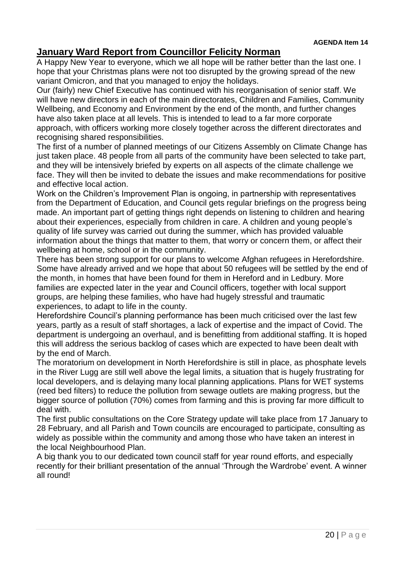# **January Ward Report from Councillor Felicity Norman**

A Happy New Year to everyone, which we all hope will be rather better than the last one. I hope that your Christmas plans were not too disrupted by the growing spread of the new variant Omicron, and that you managed to enjoy the holidays.

Our (fairly) new Chief Executive has continued with his reorganisation of senior staff. We will have new directors in each of the main directorates, Children and Families, Community Wellbeing, and Economy and Environment by the end of the month, and further changes have also taken place at all levels. This is intended to lead to a far more corporate approach, with officers working more closely together across the different directorates and recognising shared responsibilities.

The first of a number of planned meetings of our Citizens Assembly on Climate Change has just taken place. 48 people from all parts of the community have been selected to take part, and they will be intensively briefed by experts on all aspects of the climate challenge we face. They will then be invited to debate the issues and make recommendations for positive and effective local action.

Work on the Children's Improvement Plan is ongoing, in partnership with representatives from the Department of Education, and Council gets regular briefings on the progress being made. An important part of getting things right depends on listening to children and hearing about their experiences, especially from children in care. A children and young people's quality of life survey was carried out during the summer, which has provided valuable information about the things that matter to them, that worry or concern them, or affect their wellbeing at home, school or in the community.

There has been strong support for our plans to welcome Afghan refugees in Herefordshire. Some have already arrived and we hope that about 50 refugees will be settled by the end of the month, in homes that have been found for them in Hereford and in Ledbury. More families are expected later in the year and Council officers, together with local support groups, are helping these families, who have had hugely stressful and traumatic experiences, to adapt to life in the county.

Herefordshire Council's planning performance has been much criticised over the last few years, partly as a result of staff shortages, a lack of expertise and the impact of Covid. The department is undergoing an overhaul, and is benefitting from additional staffing. It is hoped this will address the serious backlog of cases which are expected to have been dealt with by the end of March.

The moratorium on development in North Herefordshire is still in place, as phosphate levels in the River Lugg are still well above the legal limits, a situation that is hugely frustrating for local developers, and is delaying many local planning applications. Plans for WET systems (reed bed filters) to reduce the pollution from sewage outlets are making progress, but the bigger source of pollution (70%) comes from farming and this is proving far more difficult to deal with.

The first public consultations on the Core Strategy update will take place from 17 January to 28 February, and all Parish and Town councils are encouraged to participate, consulting as widely as possible within the community and among those who have taken an interest in the local Neighbourhood Plan.

A big thank you to our dedicated town council staff for year round efforts, and especially recently for their brilliant presentation of the annual 'Through the Wardrobe' event. A winner all round!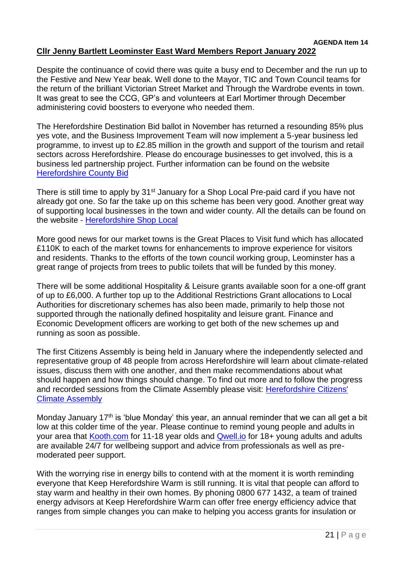#### **AGENDA Item 14 Cllr Jenny Bartlett Leominster East Ward Members Report January 2022**

It was great to see the CCG, GP's and volunteers at Earl Mortimer through December

administering covid boosters to everyone who needed them.

The Herefordshire Destination Bid ballot in November has returned a resounding 85% plus yes vote, and the Business Improvement Team will now implement a 5-year business led programme, to invest up to £2.85 million in the growth and support of the tourism and retail sectors across Herefordshire. Please do encourage businesses to get involved, this is a business led partnership project. Further information can be found on the website [Herefordshire County Bid](https://herefordshirecountybid.co.uk/)

There is still time to apply by 31<sup>st</sup> January for a Shop Local Pre-paid card if you have not already got one. So far the take up on this scheme has been very good. Another great way of supporting local businesses in the town and wider county. All the details can be found on the website - [Herefordshire Shop Local](https://www.herefordshire.gov.uk/business-1/shop-local)

More good news for our market towns is the Great Places to Visit fund which has allocated £110K to each of the market towns for enhancements to improve experience for visitors and residents. Thanks to the efforts of the town council working group, Leominster has a great range of projects from trees to public toilets that will be funded by this money.

There will be some additional Hospitality & Leisure grants available soon for a one-off grant of up to £6,000. A further top up to the Additional Restrictions Grant allocations to Local Authorities for discretionary schemes has also been made, primarily to help those not supported through the nationally defined hospitality and leisure grant. Finance and Economic Development officers are working to get both of the new schemes up and running as soon as possible.

The first Citizens Assembly is being held in January where the independently selected and representative group of 48 people from across Herefordshire will learn about climate-related issues, discuss them with one another, and then make recommendations about what should happen and how things should change. To find out more and to follow the progress and recorded sessions from the Climate Assembly please visit: [Herefordshire Citizens'](https://www.herefordshire.gov.uk/citizensassembly)  [Climate Assembly](https://www.herefordshire.gov.uk/citizensassembly)

Monday January  $17<sup>th</sup>$  is 'blue Monday' this year, an annual reminder that we can all get a bit low at this colder time of the year. Please continue to remind young people and adults in your area that [Kooth.com](https://www.kooth.com/) for 11-18 year olds and [Qwell.io](https://www.qwell.io/) for 18+ young adults and adults are available 24/7 for wellbeing support and advice from professionals as well as premoderated peer support.

With the worrying rise in energy bills to contend with at the moment it is worth reminding everyone that Keep Herefordshire Warm is still running. It is vital that people can afford to stay warm and healthy in their own homes. By phoning 0800 677 1432, a team of trained energy advisors at Keep Herefordshire Warm can offer free energy efficiency advice that ranges from simple changes you can make to helping you access grants for insulation or